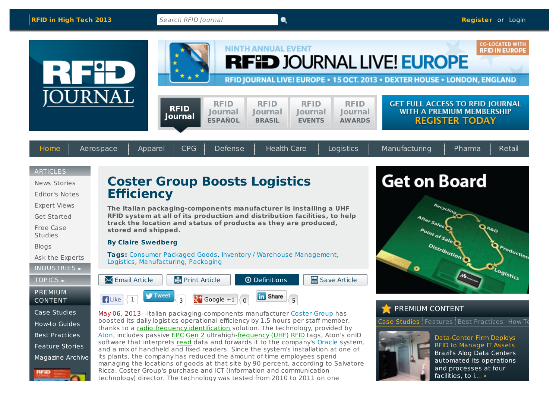and processes at four facilities, to i... »



Ricca, Coster Group's purchase and ICT (information and communication technology) director. The technology was tested from 2010 to 2011 on one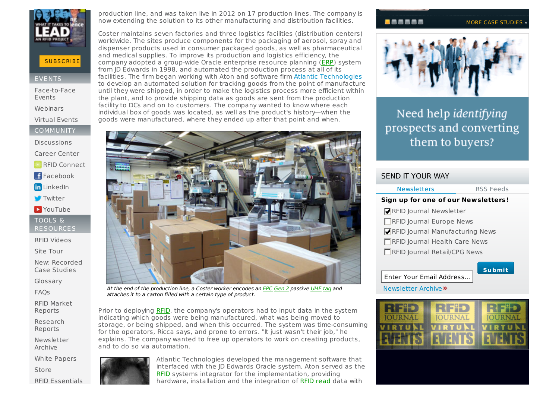

# **SUBSC[RIBE](http://www.rfidjournal.com/account/subscribe)**

#### **EVENTS**

[Face-to-Face](http://www.rfidjournalevents.com/) Events [Webinars](http://www.rfidjournal.com/events/webinars)

Virtual [Events](http://www.rfidjournalevents.com/virtual_events.php)

COMMUNITY

**[Discussions](http://www.rfidjournal.com/discussions/)** 

[Career](http://careers.rfidjournal.com/) Center

**RFID [Connect](http://www.rfidconnect.com/)** 

**F**[Facebook](http://www.facebook.com/pages/RFID-Journal/6925232835)

**in** [LinkedIn](http://www.linkedin.com/companies/rfid-journal)

**[Twitter](http://twitter.com/RFIDJournal)** 

**D** [YouTube](http://www.youtube.com/user/rfidjournal)

TOOLS & **RESOURCES** 

RFID [Videos](http://www.rfidjournal.com/videos/)

Site [Tour](http://www.rfidjournal.com/site/tour)

New: [Recorded](http://www.rfidjournal.com/store/case-studies) Case Studies

[Glossary](http://www.rfidjournal.com/glossary/)

[FAQs](http://www.rfidjournal.com/faq/)

RFID Market [Reports](http://www.rfidjournal.com/store/companies-markets)

[Research](http://www.rfidjournal.com/research-reports) Reports

[Newsletter](http://www.rfidjournal.com/newsletter-archive) Archive

White [Papers](http://www.rfidjournal.com/whitepapers)

[Store](http://www.rfidjournal.com/store/)

RFID Essentials

production line, and was taken live in 2012 on 17 production lines. The company is now extending the solution to its other manufacturing and distribution facilities.

Coster maintains seven factories and three logistics facilities (distribution centers) worldwide. The sites produce components for the packaging of aerosol, spray and dispenser products used in consumer packaged goods, as well as pharmaceutical and medical supplies. To improve its production and logistics efficiency, the company adopted a group-wide Oracle enterprise resource planning [\(ERP](http://www.rfidjournal.com/glossary/term?49)) system from JD Edwards in 1998, and automated the production process at all of its facilities. The firm began working with Aton and software firm Atlantic [Technologies](http://www.atlantic-technologies.com) to develop an automated solution for tracking goods from the point of manufacture until they were shipped, in order to make the logistics process more efficient within the plant, and to provide shipping data as goods are sent from the production facility to DCs and on to customers. The company wanted to know where each individual box of goods was located, as well as the product's history—when the goods were manufactured, where they ended up after that point and when.



At the end of the production line, a Coster worker encodes an [EPC](http://www.rfidjournal.com/glossary/term?55) [Gen](http://www.rfidjournal.com/glossary/term?291) 2 passive [UHF](http://www.rfidjournal.com/glossary/term?163) [tag](http://www.rfidjournal.com/glossary/term?157) and attaches it to a carton filled with a certain type of product.

Prior to deploying [RFID](http://www.rfidjournal.com/glossary/term?126), the company's operators had to input data in the system indicating which goods were being manufactured, what was being moved to storage, or being shipped, and when this occurred. The system was time-consuming for the operators, Ricca says, and prone to errors. "It just wasn't their job," he explains. The company wanted to free up operators to work on creating products, and to do so via automation.



Atlantic Technologies developed the management software that interfaced with the JD Edwards Oracle system. Aton served as the [RFID](http://www.rfidjournal.com/glossary/term?126) systems integrator for the implementation, providing hardware, installation and the integration of [RFID](http://www.rfidjournal.com/glossary/term?126) [read](http://www.rfidjournal.com/glossary/term?128) data with

# **BAAAAA**

#### MORE CASE [STUDIES](http://www.rfidjournal.com/case-studies)



# Need help identifying prospects and converting them to buyers?

| <b>SEND IT YOUR WAY</b>               |               |
|---------------------------------------|---------------|
| <b>Newsletters</b>                    | RSS Feeds     |
| Sign up for one of our Newsletters!   |               |
| RFID Journal Newsletter               |               |
| RFID Journal Europe News              |               |
| RFID Journal Manufacturing News       |               |
| RFID Journal Health Care News         |               |
| <b>■ RFID Journal Retail/CPG News</b> |               |
| Enter Your Email Address              | <b>Submit</b> |
| Newsletter Archive »                  |               |
|                                       |               |
|                                       |               |

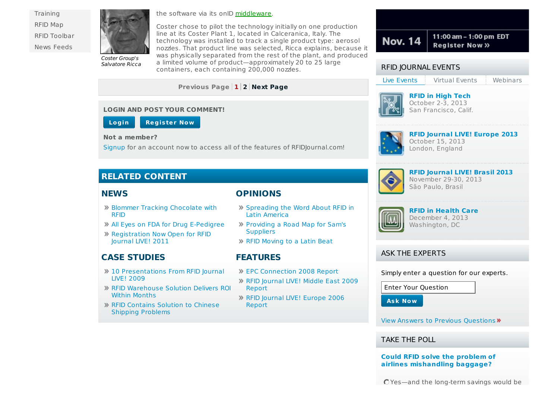**[Training](http://www.rfidjournal.com/training/essentials/)** [RFID](http://www.rfidjournalevents.com/map.php) Map RFID [Toolbar](http://www.rfidjournal.com/site/browser-toolbar) News [Feeds](http://www.rfidjournal.com/feeds)



Salvatore Ricca

the software via its onID [middleware](http://www.rfidjournal.com/glossary/term?212).

Coster chose to pilot the technology initially on one production line at its Coster Plant 1, located in Calceranica, Italy. The technology was installed to track a single product type: aerosol nozzles. That product line was selected, Ricca explains, because it was physically separated from the rest of the plant, and produced a limited volume of product—approximately 20 to 25 large containers, each containing 200,000 nozzles.

**Previous Page 1 [2](http://www.rfidjournal.com/articles/view?10652/2) Next [Page](http://www.rfidjournal.com/articles/view?10652/2)**

#### **LOGIN AND POST YOUR COMMENT!**



#### **Not a member?**

[Signup](http://www.rfidjournal.com/account/subscribe) for an account now to access all of the features of RFIDJournal.com!

# **RELATED CONTENT**

#### **NEWS**

## **OPINIONS**

- Blommer Tracking [Chocolate](http://www.rfidjournal.com/articles/view?2402) with RFID
- All Eyes on FDA for Drug [E-Pedigree](http://www.rfidjournal.com/articles/view?4013)
- [Registration](http://www.rfidjournal.com/articles/view?7979) Now Open for RFID Journal LIVE! 2011

# **CASE STUDIES**

- 10 [Presentations](http://www.rfidjournal.com/articles/view?4897) From RFID Journal LIVE! 2009
- RFID [Warehouse](http://www.rfidjournal.com/articles/view?7990) Solution Delivers ROI Within Months
- RFID [Contains](http://www.rfidjournal.com/articles/view?2707) Solution to Chinese Shipping Problems
- [Spreading](http://www.rfidjournal.com/articles/view?7718) the Word About RFID in Latin America
- [Providing](http://www.rfidjournal.com/articles/view?3873) a Road Map for Sam's **Suppliers**
- RFID [Moving](http://www.rfidjournal.com/articles/view?7810) to a Latin Beat

# **FEATURES**

- EPC [Connection](http://www.rfidjournal.com/articles/view?4424) 2008 Report
- RFID [Journal](http://www.rfidjournal.com/articles/view?5012) LIVE! Middle East 2009 Report
- RFID Journal LIVE! [Europe](http://www.rfidjournal.com/articles/view?2804) 2006 Report



### RFID JOURNAL EVENTS

Live Events Virtual Events Webinars



**RFID in High Tech** October 2-3, 2013 San Francisco, Calif.



**RFID Journal LIVE! Europe 2013** October 15, 2013 London, England



# **RFID Journal LIVE! Brasil 2013** November 29-30, 2013

São Paulo, Brasil



# **RFID in Health Care**

December 4, 2013 Washington, DC

### ASK THE EXPERTS

Simply enter a question for our experts.

Enter Your Question

**Ask Now**

View Answers to Previous [Questions](http://www.rfidjournal.com/blogs/experts) »

TAKE THE POLL

**Could RFID solve the problem of airlines [mishandling](http://www.rfidjournal.com/polls/view?401) baggage?**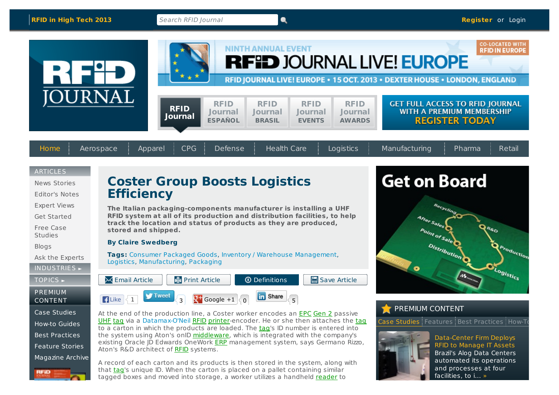facilities, to i... »



that [tag](http://www.rfidjournal.com/glossary/term?157)'s unique ID. When the carton is placed on a pallet containing similar tagged boxes and moved into storage, a worker utilizes a handheld [reader](http://www.rfidjournal.com/glossary/term?129) to